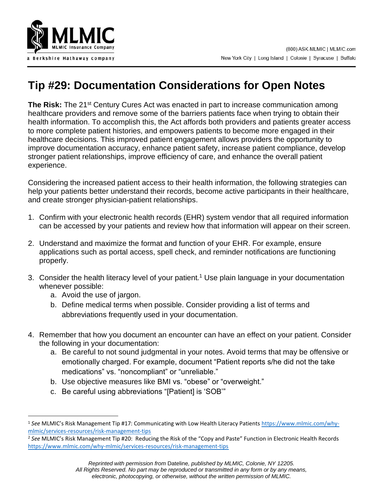

## **Tip #29: Documentation Considerations for Open Notes**

**The Risk:** The 21<sup>st</sup> Century Cures Act was enacted in part to increase communication among healthcare providers and remove some of the barriers patients face when trying to obtain their health information. To accomplish this, the Act affords both providers and patients greater access to more complete patient histories, and empowers patients to become more engaged in their healthcare decisions. This improved patient engagement allows providers the opportunity to improve documentation accuracy, enhance patient safety, increase patient compliance, develop stronger patient relationships, improve efficiency of care, and enhance the overall patient experience.

Considering the increased patient access to their health information, the following strategies can help your patients better understand their records, become active participants in their healthcare, and create stronger physician-patient relationships.

- 1. Confirm with your electronic health records (EHR) system vendor that all required information can be accessed by your patients and review how that information will appear on their screen.
- 2. Understand and maximize the format and function of your EHR. For example, ensure applications such as portal access, spell check, and reminder notifications are functioning properly.
- 3. Consider the health literacy level of your patient.<sup>1</sup> Use plain language in your documentation whenever possible:
	- a. Avoid the use of jargon.
	- b. Define medical terms when possible. Consider providing a list of terms and abbreviations frequently used in your documentation.
- 4. Remember that how you document an encounter can have an effect on your patient. Consider the following in your documentation:
	- a. Be careful to not sound judgmental in your notes. Avoid terms that may be offensive or emotionally charged. For example, document "Patient reports s/he did not the take medications" vs. "noncompliant" or "unreliable."
	- b. Use objective measures like BMI vs. "obese" or "overweight."
	- c. Be careful using abbreviations "[Patient] is 'SOB'"

<sup>1</sup> *See* MLMIC's Risk Management Tip #17: Communicating with Low Health Literacy Patients [https://www.mlmic.com/why](https://www.mlmic.com/why-mlmic/services-resources/risk-management-tips)[mlmic/services-resources/risk-management-tips](https://www.mlmic.com/why-mlmic/services-resources/risk-management-tips)

<sup>2</sup> *See* MLMIC's Risk Management Tip #20: Reducing the Risk of the "Copy and Paste" Function in Electronic Health Records <https://www.mlmic.com/why-mlmic/services-resources/risk-management-tips>